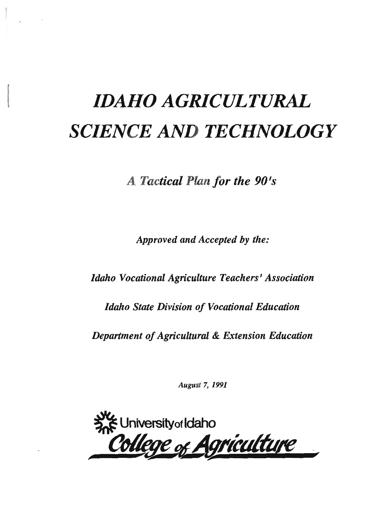# *IDAHO AGRICULTURAL SCIENCE AND TECHNOLOGY*

*A Tactical Plan/or the 90's* 

*Approved and Accepted* by *the:* 

*Idaho Vocational Agriculture Teachers' Association* 

*Idaho State Division of Vocational Education* 

*Department of Agricultural & Extension Education* 

August 7, 1991

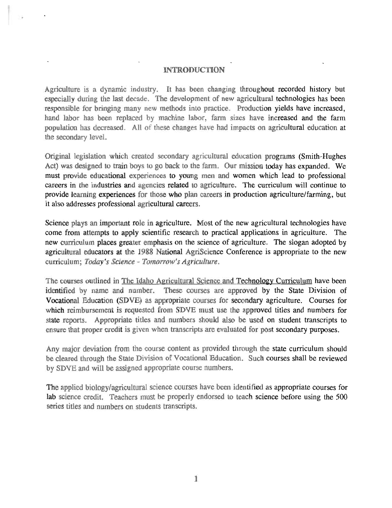#### **INTRODUCTION**

Agriculture is a dynamic industry. It has been changing throughout recorded history but especially during the last decade. The development of new agricultural technologies has been responsible for bringing many new methods into practice. Production yields have increased, hand labor has been replaced by machine labor, farm sizes have increased and the farm population has decreased. All of these changes have had impacts on agricultural education at the secondary level.

Original legislation which created secondary agricultural education programs (Smith-Hughes Act) was designed to train boys to go back to the farm. Our mission today has expanded. We must provide educational experiences to young men and women which lead to professional careers in the industries and agencies related to agriculture. The curriculum will continue to provide learning experiences for those who plan careers in production agriculture/farming, but it also addresses professional agricultural careers.

Science plays an important role in agriculture. Most of the new agricultural technologies have come from attempts to apply scientific research to practical applications in agriculture. The new curriculum places greater emphasis on the science of agriculture. The slogan adopted by agricultural educators at the 1988 National AgriScience Conference is appropriate to the new curriculum; *Today's Science* - *Tomorrow's Agriculture.* 

The courses outlined in The Idaho Agricultural Science and Technology Curriculum have been identified by name and number. These courses are approved by the State Division of Vocational Education (SDVE) as appropriate courses for secondary agriculture. Courses for which reimbursement is requested from SDVE must use the approved titles and numbers for state reports. Appropriate titles and numbers should also be used on student transcripts to ensure that proper credit is given when transcripts are evaluated for post secondary purposes.

Any major deviation from the course content as provided through the state curriculum should be cleared through the State Division of Vocational Education. Such courses shall be reviewed by SDVE and will be assigned appropriate course numbers.

The applied biology/agricultural science courses have been identified as appropriate courses for lab science credit. Teachers must be properly endorsed to teach science before using the 500 series titles and numbers on students transcripts.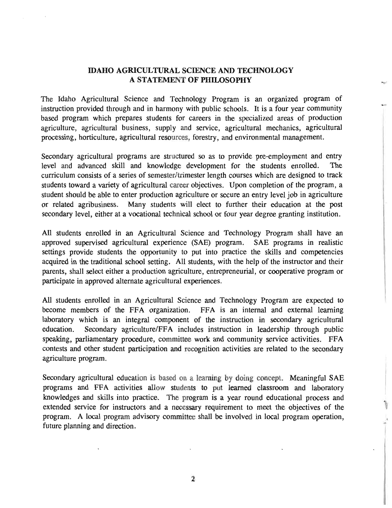#### IDAHO AGRICULTURAL SCIENCE AND TECHNOLOGY A STATEMENT OF PHILOSOPHY

The Idaho Agricultural Science and Technology Program is an organized program of instruction provided through and in harmony with public schools. It is a four year community based program which prepares students for careers in the specialized areas of production agriculture, agricultural business, supply and service, agricultural mechanics, agricultural processing, horticulture, agricultural resources, forestry, and environmental management.

Secondary agricultural programs are structured so as to provide pre-employment and entry level and advanced skill and knowledge development for the students enrolled. The curriculum consists of a series of semester/trimester length courses which are designed to track students toward a variety of agricultural career objectives. Upon completion of the program, a student should be able to enter production agriculture or secure an entry level job in agriculture or related agribusiness. Many students will elect to further their education at the post secondary level, either at a vocational technical school or four year degree granting institution.

All students enrolled in an Agricultural Science and Technology Program shall have an approved supervised agricultural experience (SAE) program. SAE programs in realistic settings provide students the opportunity to put into practice the skills and competencies acquired in the traditional school setting. All students, with the help of the instructor and their parents, shall select either a production agriculture, entrepreneurial, or cooperative program or participate in approved alternate agricultural experiences.

All students enrolled in an Agricultural Science and Technology Program are expected to become members of the FFA organization. FFA is an internal and external learning laboratory which is an integral component of the instruction in secondary agricultural education. Secondary agriculture/FFA includes instruction in leadership through public speaking, parliamentary procedure, committee work and community service activities. FFA contests and other student participation and recognition activities are related to the secondary agriculture program.

Secondary agricultural education is based on a learning by doing concept. Meaningful SAE programs and FFA activities allow students to put learned classroom and laboratory knowledges and skills into practice. The program is a year round educational process and extended service for instructors and a necessary requirement to meet the objectives of the program. A local program advisory committee shall be involved in local program operation, future planning and direction.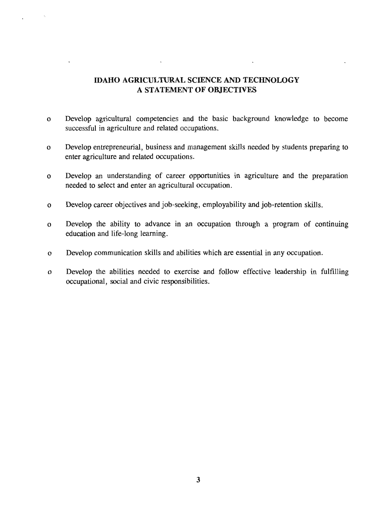# **IDAHO AGRICULTURAL SCIENCE AND TECHNOLOGY** A **STATEMENT OF OBJECTIVES**

 $\Box$ 

- o Develop agricultural competencies and the basic background knowledge to become successful in agriculture and related occupations.
- o Develop entrepreneurial, business and management skills needed by students preparing to enter agriculture and related occupations.
- o Develop an understanding of career opportunities in agriculture and the preparation needed to select and enter an agricultural occupation.
- o Develop career objectives and job-seeking, employability and job-retention skills.
- o Develop the ability to advance in an occupation through a program of continuing education and life-long learning.
- o Develop communication skills and abilities which are essential in any occupation.
- o Develop the abilities needed to exercise and follow effective leadership in fulfilling occupational, social and civic responsibilities.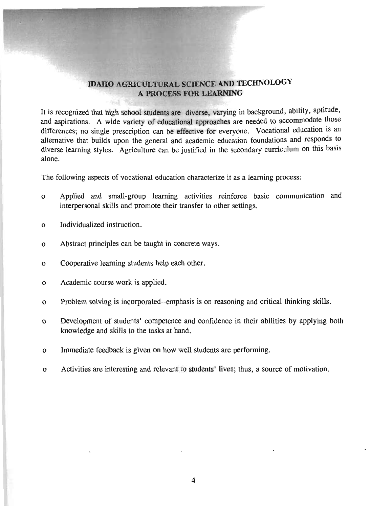# IDAHO AGRICULTURAL SCIENCE AND TECHNOLOGY A PROCESS FOR LEARNING

It is recognized that high school students are diverse, varying in background, ability, aptitude, and aspirations. A wide variety of educational approaches are needed to accommodate those differences; no single prescription can be effective for everyone. Vocational education is an alternative that builds upon the general and academic education foundations and responds to diverse learning styles. Agriculture can be justified in the secondary curriculum on this basis alone.

The following aspects of vocational education characterize it as a learning process:

- o Applied and small-group learning activities reinforce basic communication and interpersonal skills and promote their transfer to other settings.
- o Individualized instruction.
- o Abstract principles can be taught in concrete ways.
- o Cooperative learning students help each other.
- o Academic course work is applied.
- o Problem solving is incorporated--emphasis is on reasoning and critical thinking skills.
- o Development of students' competence and confidence in their abilities by applying both knowledge and skills to the tasks at hand.
- o Immediate feedback is given on how well students are performing.
- o Activities are interesting and relevant to students' lives; thus, a source of motivation.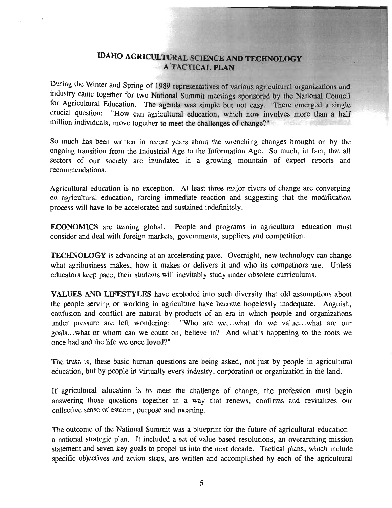# IDAHO AGRICULTURAL SCIENCE AND TECHNOLOGY **A TACTICAL PLAN**

During the Winter and Spring of 1989 representatives of various agricultural organizations and industry came together for two National Summit meetings sponsored by the National Council for Agricultural Education. The agenda was simple but not easy. There emerged a single crucial question: "How can agricultural education, which now involves more than a half million individuals, move together to meet the challenges of change?"

So much has been written in recent years about the wrenching changes brought on by the ongoing transition from the Industrial Age to the Information Age. So much, in fact, that all sectors of our society are inundated in a growing mountain of expert reports and recommendations.

Agricultural education is no exception. At least three major rivers of change are converging on agricultural education, forcing immediate reaction and suggesting that the modification process will have to be accelerated and sustained indefinitely.

ECONOMICS are turning global. People and programs in agricultural education must consider and deal with foreign markets, governments, suppliers and competition.

TECHNOLOGY is advancing at an accelerating pace. Overnight, new technology can change what agribusiness makes, how it makes or delivers it and who its competitors are. Unless educators keep pace, their students will inevitably study under obsolete curriculums.

VALUES AND LIFESTYLES have exploded into such diversity that old assumptions about the people serving or working in agriculture have become hopelessly inadequate. Anguish, confusion and conflict are natural by-products of an era in which people and organizations under pressure are left wondering: "Who are we...what do we value...what are our goals...what or whom can we count on, believe in? And what's happening to the roots we once had and the life we once loved?"

The truth is, these basic human questions are being asked, not just by people in agricultural education, but by people in virtually every industry, corporation or organization in the land.

If agricultural education is to meet the challenge of change, the profession must begin answering those questions together in a way that renews, confirms and revitalizes our collective sense of esteem, purpose and meaning.

The outcome of the National Summit was a blueprint for the future of agricultural education a national strategic plan. It included a set of value based resolutions, an overarching mission statement and seven key goals to propel us into the next decade. Tactical plans, which include specific objectives and action steps, are written and accomplished by each of the agricultural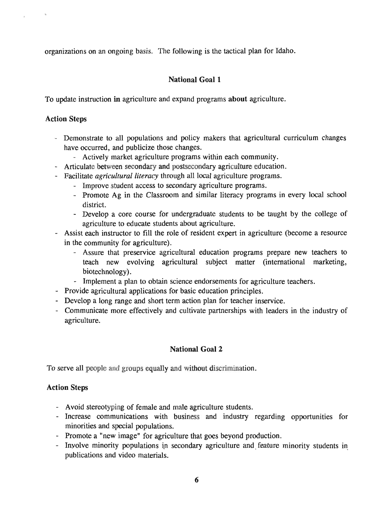organizations on an ongoing basis. The following is the tactical plan for Idaho.

# National Goal 1

To update instruction in agriculture and expand programs about agriculture.

# Action Steps

- Demonstrate to all populations and policy makers that agricultural curriculum changes have occurred, and publicize those changes.
	- Actively market agriculture programs within each community.
- Articulate between secondary and postsecondary agriculture education.
- Facilitate *agricultural literacy* through all local agriculture programs.
	- Improve student access to secondary agriculture programs.
	- Promote Ag in the Classroom and similar literacy programs in every local school district.
	- Develop a core course for undergraduate students to be taught by the college of agriculture to educate students about agriculture.
- Assist each instructor to fill the role of resident expert in agriculture (become a resource in the community for agriculture).
	- Assure that preservice agricultural education programs prepare new teachers to teach new evolving agricultural subject matter (international marketing, biotechnology).
	- Implement a plan to obtain science endorsements for agriculture teachers.
- Provide agricultural applications for basic education principles.
- Develop a long range and short term action plan for teacher inservice.
- Communicate more effectively and cultivate partnerships with leaders in the industry of agriculture.

# National Goal 2

To serve all people and groups equally and without discrimination.

- Avoid stereotyping of female and male agriculture students.
- Increase communications with business and industry regarding opportunities for minorities and special populations.
- Promote a "new image" for agriculture that goes beyond production.
- Involve minority populations in secondary agriculture and feature minority students in publications and video materials.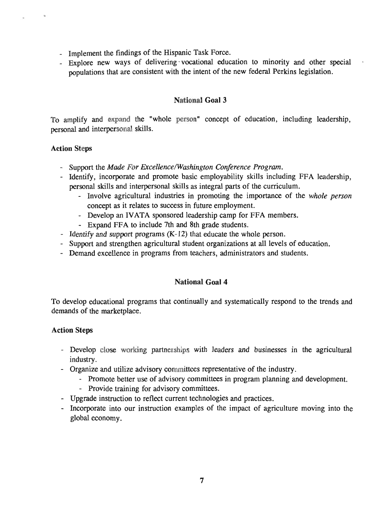- Implement the findings of the Hispanic Task Force.
- Explore new ways of delivering' vocational education to minority and other special populations that are consistent with the intent of the new federal Perkins legislation.

#### National Goal 3

To amplify and expand the "whole person" concept of education, including leadership, personal and interpersonal skills.

#### Action Steps

- Support the *Made For ExcellencelWashington Conference Program.*
- Identify, incorporate and promote basic employability skills including FFA leadership, personal skills and interpersonal skills as integral parts of the curriculum.
	- Involve agricultural industries in promoting the importance of the *whole person*  concept as it relates to success in future employment.
	- Develop an IVATA sponsored leadership camp for FFA members.
	- Expand FFA to include 7th and 8th grade students.
- Identify and support programs (K-12) that educate the whole person.
- Support and strengthen agricultural student organizations at all levels of education.
- Demand excellence in programs from teachers, administrators and students.

# National Goal 4

To develop educational programs that continually and systematically respond to the trends and demands of the marketplace.

- Develop close working partnerships with leaders and businesses in the agricultural industry.
- Organize and utilize advisory committees representative of the industry.
	- Promote better use of advisory committees in program planning and development.
		- Provide training for advisory committees.
- Upgrade instruction to reflect current technologies and practices.
- Incorporate into our instruction examples of the impact of agriculture moving into the global economy.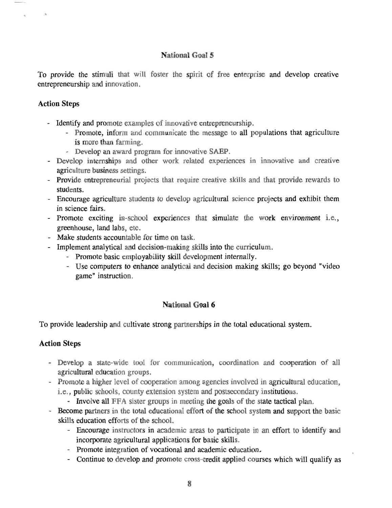# **National Goal 5**

To provide the stimuli that will foster the spirit of free enterprise and develop creative entrepreneurship and innovation.

# Action Steps

- Identify and promote examples of innovative entrepreneurship.
	- Promote, inform and communicate the message to all populations that agriculture is more than farming.
	- Develop an award program for innovative SAEP.
- Develop internships and other work related experiences in innovative and creative agriculture business settings.
- Provide entrepreneurial projects that require creative skills and that provide rewards to students.
- Encourage agriculture students to develop agricultural science projects and exhibit them in science fairs.
- Promote exciting in-school experiences that simulate the work environment i.e., greenhouse, land labs, etc.
- Make students accountable for time on task.
- Implement analytical and decision-making skills into the curriculum.
	- Promote basic employability skill development internally.
	- Use computers to enhance analytical and decision making skills; go beyond "video game" instruction.

# National Goal 6

To provide leadership and cultivate strong partnerships in the total educational system.

- Develop a state-wide tool for communication, coordination and cooperation of all agricultural education groups.
- Promote a higher level of cooperation among agencies involved in agricultural education, i.e., public schools, county extension system and postsecondary institutions.
	- Involve all FFA sister groups in meeting the goals of the state tactical plan.
- Become partners in the total educational effort of the school system and support the basic skills education efforts of the school.
	- Encourage instructors in academic areas to participate in an effort to identify and incorporate agricultural applications for basic skills.
	- Promote integration of vocational and academic education,
	- Continue to develop and promote cross-credit applied courses which will qualify as